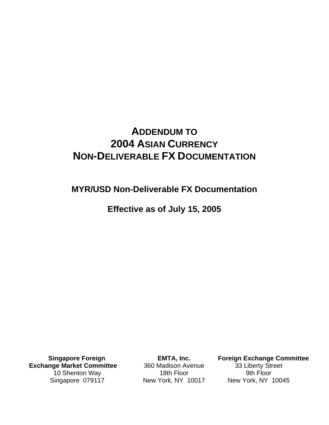# **ADDENDUM TO 2004 ASIAN CURRENCY NON-DELIVERABLE FX DOCUMENTATION**

**MYR/USD Non-Deliverable FX Documentation** 

**Effective as of July 15, 2005** 

**Singapore Foreign Exchange Market Committee**  10 Shenton Way Singapore 079117

**EMTA, Inc.**  360 Madison Avenue 18th Floor New York, NY 10017

**Foreign Exchange Committee**  33 Liberty Street 9th Floor New York, NY 10045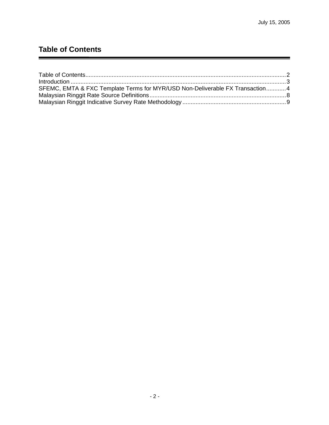## **Table of Contents**

| SFEMC, EMTA & FXC Template Terms for MYR/USD Non-Deliverable FX Transaction4 |  |
|------------------------------------------------------------------------------|--|
|                                                                              |  |
|                                                                              |  |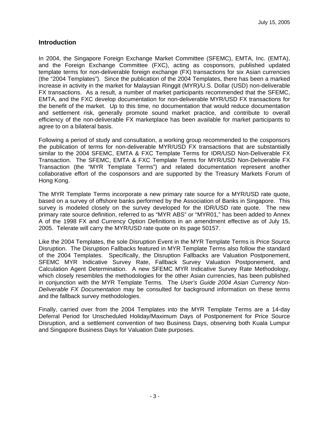#### **Introduction**

In 2004, the Singapore Foreign Exchange Market Committee (SFEMC), EMTA, Inc. (EMTA), and the Foreign Exchange Committee (FXC), acting as cosponsors, published updated template terms for non-deliverable foreign exchange (FX) transactions for six Asian currencies (the "2004 Templates"). Since the publication of the 2004 Templates, there has been a marked increase in activity in the market for Malaysian Ringgit (MYR)/U.S. Dollar (USD) non-deliverable FX transactions. As a result, a number of market participants recommended that the SFEMC, EMTA, and the FXC develop documentation for non-deliverable MYR/USD FX transactions for the benefit of the market. Up to this time, no documentation that would reduce documentation and settlement risk, generally promote sound market practice, and contribute to overall efficiency of the non-deliverable FX marketplace has been available for market participants to agree to on a bilateral basis.

Following a period of study and consultation, a working group recommended to the cosponsors the publication of terms for non-deliverable MYR/USD FX transactions that are substantially similar to the 2004 SFEMC, EMTA & FXC Template Terms for IDR/USD Non-Deliverable FX Transaction. The SFEMC, EMTA & FXC Template Terms for MYR/USD Non-Deliverable FX Transaction (the "MYR Template Terms") and related documentation represent another collaborative effort of the cosponsors and are supported by the Treasury Markets Forum of Hong Kong.

The MYR Template Terms incorporate a new primary rate source for a MYR/USD rate quote, based on a survey of offshore banks performed by the Association of Banks in Singapore. This survey is modeled closely on the survey developed for the IDR/USD rate quote. The new primary rate source definition, referred to as "MYR ABS" or "MYR01," has been added to Annex A of the 1998 FX and Currency Option Definitions in an amendment effective as of July 15, 2005. Telerate will carry the MYR/USD rate quote on its page 50157.

Like the 2004 Templates, the sole Disruption Event in the MYR Template Terms is Price Source Disruption. The Disruption Fallbacks featured in MYR Template Terms also follow the standard of the 2004 Templates. Specifically, the Disruption Fallbacks are Valuation Postponement, SFEMC MYR Indicative Survey Rate, Fallback Survey Valuation Postponement, and Calculation Agent Determination. A new SFEMC MYR Indicative Survey Rate Methodology, which closely resembles the methodologies for the other Asian currencies, has been published in conjunction with the MYR Template Terms. The *User's Guide 2004 Asian Currency Non-Deliverable FX Documentation* may be consulted for background information on these terms and the fallback survey methodologies.

Finally, carried over from the 2004 Templates into the MYR Template Terms are a 14-day Deferral Period for Unscheduled Holiday/Maximum Days of Postponement for Price Source Disruption, and a settlement convention of two Business Days, observing both Kuala Lumpur and Singapore Business Days for Valuation Date purposes.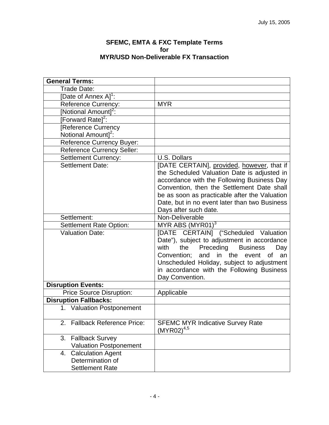#### **SFEMC, EMTA & FXC Template Terms for MYR/USD Non-Deliverable FX Transaction**

| <b>General Terms:</b>                                                        |                                                                                                                                                                                                                                                                                                                     |
|------------------------------------------------------------------------------|---------------------------------------------------------------------------------------------------------------------------------------------------------------------------------------------------------------------------------------------------------------------------------------------------------------------|
| Trade Date:                                                                  |                                                                                                                                                                                                                                                                                                                     |
| [Date of Annex A] <sup>1</sup> :                                             |                                                                                                                                                                                                                                                                                                                     |
| Reference Currency:                                                          | <b>MYR</b>                                                                                                                                                                                                                                                                                                          |
| [Notional Amount] <sup>2</sup> :                                             |                                                                                                                                                                                                                                                                                                                     |
| [Forward Rate] <sup>2</sup> :                                                |                                                                                                                                                                                                                                                                                                                     |
| [Reference Currency                                                          |                                                                                                                                                                                                                                                                                                                     |
| Notional Amount] <sup>2</sup> :                                              |                                                                                                                                                                                                                                                                                                                     |
| Reference Currency Buyer:                                                    |                                                                                                                                                                                                                                                                                                                     |
| <b>Reference Currency Seller:</b>                                            |                                                                                                                                                                                                                                                                                                                     |
| <b>Settlement Currency:</b>                                                  | U.S. Dollars                                                                                                                                                                                                                                                                                                        |
| <b>Settlement Date:</b>                                                      | [DATE CERTAIN], provided, however, that if<br>the Scheduled Valuation Date is adjusted in<br>accordance with the Following Business Day<br>Convention, then the Settlement Date shall<br>be as soon as practicable after the Valuation<br>Date, but in no event later than two Business<br>Days after such date.    |
| Settlement:                                                                  | Non-Deliverable                                                                                                                                                                                                                                                                                                     |
| <b>Settlement Rate Option:</b>                                               | MYR ABS $(MYR01)^3$                                                                                                                                                                                                                                                                                                 |
| <b>Valuation Date:</b>                                                       | [DATE CERTAIN] ("Scheduled Valuation<br>Date"), subject to adjustment in accordance<br>with<br>the<br>Preceding<br><b>Business</b><br>Day<br>Convention;<br>and<br>in the<br>event<br><b>of</b><br>an<br>Unscheduled Holiday, subject to adjustment<br>in accordance with the Following Business<br>Day Convention. |
| <b>Disruption Events:</b>                                                    |                                                                                                                                                                                                                                                                                                                     |
| <b>Price Source Disruption:</b>                                              | Applicable                                                                                                                                                                                                                                                                                                          |
| <b>Disruption Fallbacks:</b>                                                 |                                                                                                                                                                                                                                                                                                                     |
| 1. Valuation Postponement                                                    |                                                                                                                                                                                                                                                                                                                     |
| <b>Fallback Reference Price:</b><br>2.                                       | <b>SFEMC MYR Indicative Survey Rate</b><br>$(MYR02)^{4,5}$                                                                                                                                                                                                                                                          |
| <b>Fallback Survey</b><br>3.<br><b>Valuation Postponement</b>                |                                                                                                                                                                                                                                                                                                                     |
| <b>Calculation Agent</b><br>4.<br>Determination of<br><b>Settlement Rate</b> |                                                                                                                                                                                                                                                                                                                     |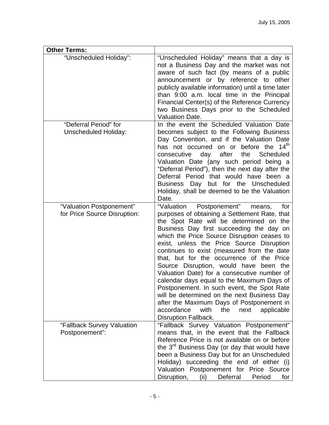| <b>Other Terms:</b>                                      |                                                                                                                                                                                                                                                                                                                                                                                                                                                                                                                                                                                                                                                                                                                                      |
|----------------------------------------------------------|--------------------------------------------------------------------------------------------------------------------------------------------------------------------------------------------------------------------------------------------------------------------------------------------------------------------------------------------------------------------------------------------------------------------------------------------------------------------------------------------------------------------------------------------------------------------------------------------------------------------------------------------------------------------------------------------------------------------------------------|
| "Unscheduled Holiday":                                   | "Unscheduled Holiday" means that a day is<br>not a Business Day and the market was not<br>aware of such fact (by means of a public<br>announcement or by reference to other<br>publicly available information) until a time later<br>than 9:00 a.m. local time in the Principal<br>Financial Center(s) of the Reference Currency<br>two Business Days prior to the Scheduled<br><b>Valuation Date.</b>                                                                                                                                                                                                                                                                                                                               |
| "Deferral Period" for<br><b>Unscheduled Holiday:</b>     | In the event the Scheduled Valuation Date<br>becomes subject to the Following Business<br>Day Convention, and if the Valuation Date<br>has not occurred on or before the 14 <sup>th</sup><br>day after<br>consecutive<br>the<br>Scheduled<br>Valuation Date (any such period being a<br>"Deferral Period"), then the next day after the<br>Deferral Period that would have been a<br>Business Day but for the Unscheduled<br>Holiday, shall be deemed to be the Valuation<br>Date.                                                                                                                                                                                                                                                   |
| "Valuation Postponement"<br>for Price Source Disruption: | "Valuation Postponement"<br>means,<br>for<br>purposes of obtaining a Settlement Rate, that<br>the Spot Rate will be determined on the<br>Business Day first succeeding the day on<br>which the Price Source Disruption ceases to<br>exist, unless the Price Source Disruption<br>continues to exist (measured from the date<br>that, but for the occurrence of the Price<br>Source Disruption, would have been the<br>Valuation Date) for a consecutive number of<br>calendar days equal to the Maximum Days of<br>Postponement. In such event, the Spot Rate<br>will be determined on the next Business Day<br>after the Maximum Days of Postponement in<br>accordance<br>with<br>the<br>next<br>applicable<br>Disruption Fallback. |
| "Fallback Survey Valuation<br>Postponement":             | "Fallback Survey Valuation Postponement"<br>means that, in the event that the Fallback<br>Reference Price is not available on or before<br>the 3 <sup>rd</sup> Business Day (or day that would have<br>been a Business Day but for an Unscheduled<br>Holiday) succeeding the end of either (i)<br>Valuation Postponement for Price Source<br>Disruption,<br>Deferral<br>(ii)<br>Period<br>for                                                                                                                                                                                                                                                                                                                                        |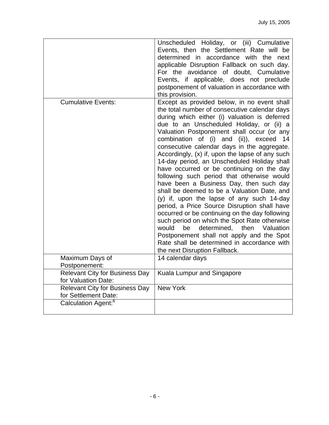|                                                               | Unscheduled Holiday, or (iii) Cumulative<br>Events, then the Settlement Rate will be<br>determined in accordance with the next<br>applicable Disruption Fallback on such day.<br>For the avoidance of doubt, Cumulative<br>Events, if applicable, does not preclude<br>postponement of valuation in accordance with<br>this provision.                                                                                                                                                                                                                                                                                                                                                                                                                                                                                                                                                                                                                                                                  |
|---------------------------------------------------------------|---------------------------------------------------------------------------------------------------------------------------------------------------------------------------------------------------------------------------------------------------------------------------------------------------------------------------------------------------------------------------------------------------------------------------------------------------------------------------------------------------------------------------------------------------------------------------------------------------------------------------------------------------------------------------------------------------------------------------------------------------------------------------------------------------------------------------------------------------------------------------------------------------------------------------------------------------------------------------------------------------------|
| <b>Cumulative Events:</b>                                     | Except as provided below, in no event shall<br>the total number of consecutive calendar days<br>during which either (i) valuation is deferred<br>due to an Unscheduled Holiday, or (ii) a<br>Valuation Postponement shall occur (or any<br>combination of (i) and (ii)), exceed<br>14<br>consecutive calendar days in the aggregate.<br>Accordingly, (x) if, upon the lapse of any such<br>14-day period, an Unscheduled Holiday shall<br>have occurred or be continuing on the day<br>following such period that otherwise would<br>have been a Business Day, then such day<br>shall be deemed to be a Valuation Date, and<br>(y) if, upon the lapse of any such 14-day<br>period, a Price Source Disruption shall have<br>occurred or be continuing on the day following<br>such period on which the Spot Rate otherwise<br>determined, then<br>Valuation<br>would<br>be<br>Postponement shall not apply and the Spot<br>Rate shall be determined in accordance with<br>the next Disruption Fallback. |
| Maximum Days of<br>Postponement:                              | 14 calendar days                                                                                                                                                                                                                                                                                                                                                                                                                                                                                                                                                                                                                                                                                                                                                                                                                                                                                                                                                                                        |
| <b>Relevant City for Business Day</b><br>for Valuation Date:  | Kuala Lumpur and Singapore                                                                                                                                                                                                                                                                                                                                                                                                                                                                                                                                                                                                                                                                                                                                                                                                                                                                                                                                                                              |
| <b>Relevant City for Business Day</b><br>for Settlement Date: | <b>New York</b>                                                                                                                                                                                                                                                                                                                                                                                                                                                                                                                                                                                                                                                                                                                                                                                                                                                                                                                                                                                         |
| Calculation Agent: <sup>6</sup>                               |                                                                                                                                                                                                                                                                                                                                                                                                                                                                                                                                                                                                                                                                                                                                                                                                                                                                                                                                                                                                         |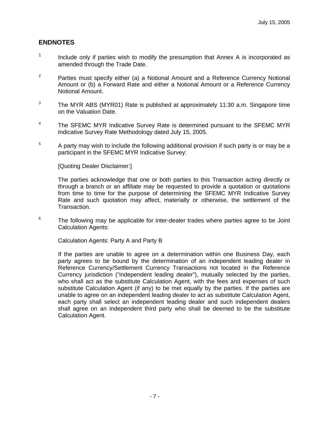### **ENDNOTES**

- $1$  Include only if parties wish to modify the presumption that Annex A is incorporated as amended through the Trade Date.
- <sup>2</sup> Parties must specify either (a) a Notional Amount and a Reference Currency Notional Amount or (b) a Forward Rate and either a Notional Amount or a Reference Currency Notional Amount.
- $3$  The MYR ABS (MYR01) Rate is published at approximately 11:30 a.m. Singapore time on the Valuation Date.
- <sup>4</sup> The SFEMC MYR Indicative Survey Rate is determined pursuant to the SFEMC MYR Indicative Survey Rate Methodology dated July 15, 2005.
- 5 A party may wish to include the following additional provision if such party is or may be a participant in the SFEMC MYR Indicative Survey:

[Quoting Dealer Disclaimer:]

The parties acknowledge that one or both parties to this Transaction acting directly or through a branch or an affiliate may be requested to provide a quotation or quotations from time to time for the purpose of determining the SFEMC MYR Indicative Survey Rate and such quotation may affect, materially or otherwise, the settlement of the Transaction.

6 The following may be applicable for inter-dealer trades where parties agree to be Joint Calculation Agents:

Calculation Agents: Party A and Party B

If the parties are unable to agree on a determination within one Business Day, each party agrees to be bound by the determination of an independent leading dealer in Reference Currency/Settlement Currency Transactions not located in the Reference Currency jurisdiction ("independent leading dealer"), mutually selected by the parties, who shall act as the substitute Calculation Agent, with the fees and expenses of such substitute Calculation Agent (if any) to be met equally by the parties. If the parties are unable to agree on an independent leading dealer to act as substitute Calculation Agent, each party shall select an independent leading dealer and such independent dealers shall agree on an independent third party who shall be deemed to be the substitute Calculation Agent.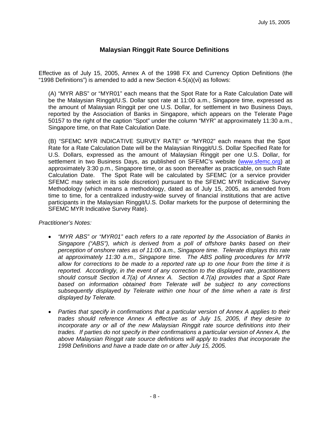## **Malaysian Ringgit Rate Source Definitions**

Effective as of July 15, 2005, Annex A of the 1998 FX and Currency Option Definitions (the "1998 Definitions") is amended to add a new Section 4.5(a)(vi) as follows:

(A) "MYR ABS" or "MYR01" each means that the Spot Rate for a Rate Calculation Date will be the Malaysian Ringgit/U.S. Dollar spot rate at 11:00 a.m., Singapore time, expressed as the amount of Malaysian Ringgit per one U.S. Dollar, for settlement in two Business Days, reported by the Association of Banks in Singapore, which appears on the Telerate Page 50157 to the right of the caption "Spot" under the column "MYR" at approximately 11:30 a.m., Singapore time, on that Rate Calculation Date.

(B) "SFEMC MYR INDICATIVE SURVEY RATE" or "MYR02" each means that the Spot Rate for a Rate Calculation Date will be the Malaysian Ringgit/U.S. Dollar Specified Rate for U.S. Dollars, expressed as the amount of Malaysian Ringgit per one U.S. Dollar, for settlement in two Business Days, as published on SFEMC's website (www.sfemc.org) at approximately 3:30 p.m., Singapore time, or as soon thereafter as practicable, on such Rate Calculation Date. The Spot Rate will be calculated by SFEMC (or a service provider SFEMC may select in its sole discretion) pursuant to the SFEMC MYR Indicative Survey Methodology (which means a methodology, dated as of July 15, 2005, as amended from time to time, for a centralized industry-wide survey of financial institutions that are active participants in the Malaysian Ringgit/U.S. Dollar markets for the purpose of determining the SFEMC MYR Indicative Survey Rate).

#### *Practitioner's Notes:*

- *"MYR ABS" or "MYR01" each refers to a rate reported by the Association of Banks in Singapore ("ABS"), which is derived from a poll of offshore banks based on their perception of onshore rates as of 11:00 a.m., Singapore time. Telerate displays this rate at approximately 11:30 a.m., Singapore time. The ABS polling procedures for MYR allow for corrections to be made to a reported rate up to one hour from the time it is reported. Accordingly, in the event of any correction to the displayed rate, practitioners should consult Section 4.7(a) of Annex A. Section 4.7(a) provides that a Spot Rate based on information obtained from Telerate will be subject to any corrections subsequently displayed by Telerate within one hour of the time when a rate is first displayed by Telerate.*
- *Parties that specify in confirmations that a particular version of Annex A applies to their trades should reference Annex A effective as of July 15, 2005, if they desire to incorporate any or all of the new Malaysian Ringgit rate source definitions into their trades. If parties do not specify in their confirmations a particular version of Annex A, the above Malaysian Ringgit rate source definitions will apply to trades that incorporate the 1998 Definitions and have a trade date on or after July 15, 2005.*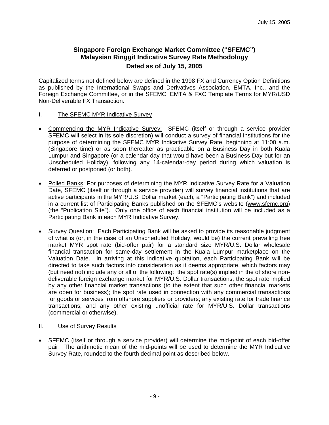## **Singapore Foreign Exchange Market Committee ("SFEMC") Malaysian Ringgit Indicative Survey Rate Methodology Dated as of July 15, 2005**

Capitalized terms not defined below are defined in the 1998 FX and Currency Option Definitions as published by the International Swaps and Derivatives Association, EMTA, Inc., and the Foreign Exchange Committee, or in the SFEMC, EMTA & FXC Template Terms for MYR/USD Non-Deliverable FX Transaction.

- I. The SFEMC MYR Indicative Survey
- Commencing the MYR Indicative Survey: SFEMC (itself or through a service provider SFEMC will select in its sole discretion) will conduct a survey of financial institutions for the purpose of determining the SFEMC MYR Indicative Survey Rate, beginning at 11:00 a.m. (Singapore time) or as soon thereafter as practicable on a Business Day in both Kuala Lumpur and Singapore (or a calendar day that would have been a Business Day but for an Unscheduled Holiday), following any 14-calendar-day period during which valuation is deferred or postponed (or both).
- Polled Banks: For purposes of determining the MYR Indicative Survey Rate for a Valuation Date, SFEMC (itself or through a service provider) will survey financial institutions that are active participants in the MYR/U.S. Dollar market (each, a "Participating Bank") and included in a current list of Participating Banks published on the SFEMC's website (www.sfemc.org) (the "Publication Site"). Only one office of each financial institution will be included as a Participating Bank in each MYR Indicative Survey.
- Survey Question: Each Participating Bank will be asked to provide its reasonable judgment of what is (or, in the case of an Unscheduled Holiday, would be) the current prevailing free market MYR spot rate (bid-offer pair) for a standard size MYR/U.S. Dollar wholesale financial transaction for same-day settlement in the Kuala Lumpur marketplace on the Valuation Date. In arriving at this indicative quotation, each Participating Bank will be directed to take such factors into consideration as it deems appropriate, which factors may (but need not) include any or all of the following: the spot rate(s) implied in the offshore nondeliverable foreign exchange market for MYR/U.S. Dollar transactions; the spot rate implied by any other financial market transactions (to the extent that such other financial markets are open for business); the spot rate used in connection with any commercial transactions for goods or services from offshore suppliers or providers; any existing rate for trade finance transactions; and any other existing unofficial rate for MYR/U.S. Dollar transactions (commercial or otherwise).
- II. Use of Survey Results
- SFEMC (itself or through a service provider) will determine the mid-point of each bid-offer pair. The arithmetic mean of the mid-points will be used to determine the MYR Indicative Survey Rate, rounded to the fourth decimal point as described below.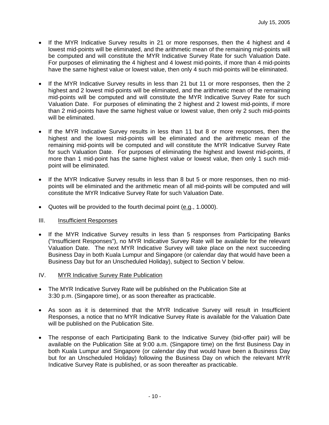- If the MYR Indicative Survey results in 21 or more responses, then the 4 highest and 4 lowest mid-points will be eliminated, and the arithmetic mean of the remaining mid-points will be computed and will constitute the MYR Indicative Survey Rate for such Valuation Date. For purposes of eliminating the 4 highest and 4 lowest mid-points, if more than 4 mid-points have the same highest value or lowest value, then only 4 such mid-points will be eliminated.
- If the MYR Indicative Survey results in less than 21 but 11 or more responses, then the 2 highest and 2 lowest mid-points will be eliminated, and the arithmetic mean of the remaining mid-points will be computed and will constitute the MYR Indicative Survey Rate for such Valuation Date. For purposes of eliminating the 2 highest and 2 lowest mid-points, if more than 2 mid-points have the same highest value or lowest value, then only 2 such mid-points will be eliminated.
- If the MYR Indicative Survey results in less than 11 but 8 or more responses, then the highest and the lowest mid-points will be eliminated and the arithmetic mean of the remaining mid-points will be computed and will constitute the MYR Indicative Survey Rate for such Valuation Date. For purposes of eliminating the highest and lowest mid-points, if more than 1 mid-point has the same highest value or lowest value, then only 1 such midpoint will be eliminated.
- If the MYR Indicative Survey results in less than 8 but 5 or more responses, then no midpoints will be eliminated and the arithmetic mean of all mid-points will be computed and will constitute the MYR Indicative Survey Rate for such Valuation Date.
- Quotes will be provided to the fourth decimal point (e.g., 1.0000).

#### III. Insufficient Responses

- If the MYR Indicative Survey results in less than 5 responses from Participating Banks ("Insufficient Responses"), no MYR Indicative Survey Rate will be available for the relevant Valuation Date. The next MYR Indicative Survey will take place on the next succeeding Business Day in both Kuala Lumpur and Singapore (or calendar day that would have been a Business Day but for an Unscheduled Holiday), subject to Section V below.
- IV. MYR Indicative Survey Rate Publication
- The MYR Indicative Survey Rate will be published on the Publication Site at 3:30 p.m. (Singapore time), or as soon thereafter as practicable.
- As soon as it is determined that the MYR Indicative Survey will result in Insufficient Responses, a notice that no MYR Indicative Survey Rate is available for the Valuation Date will be published on the Publication Site.
- The response of each Participating Bank to the Indicative Survey (bid-offer pair) will be available on the Publication Site at 9:00 a.m. (Singapore time) on the first Business Day in both Kuala Lumpur and Singapore (or calendar day that would have been a Business Day but for an Unscheduled Holiday) following the Business Day on which the relevant MYR Indicative Survey Rate is published, or as soon thereafter as practicable.